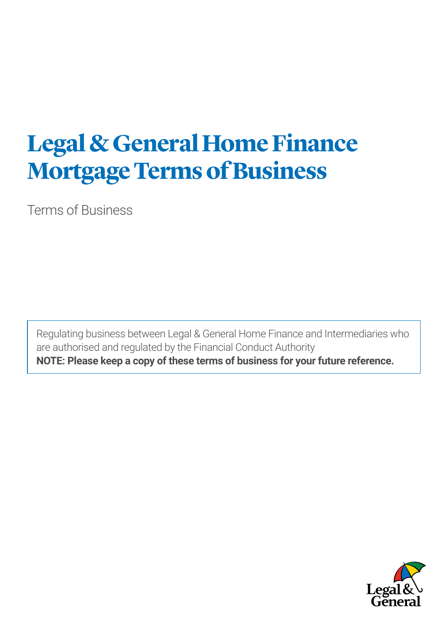# **Legal & General Home Finance Mortgage Terms of Business**

Terms of Business

Regulating business between Legal & General Home Finance and Intermediaries who are authorised and regulated by the Financial Conduct Authority **NOTE: Please keep a copy of these terms of business for your future reference.**

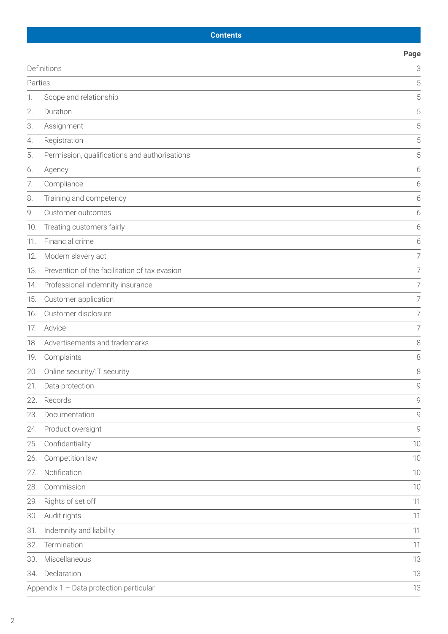# **Contents**

|                        |                                               | Page           |
|------------------------|-----------------------------------------------|----------------|
| Definitions<br>Parties |                                               | 3              |
|                        |                                               | 5              |
| 1.                     | Scope and relationship                        | 5              |
| 2.                     | Duration                                      | 5              |
| 3.                     | Assignment                                    | 5              |
| 4.                     | Registration                                  | 5              |
| 5.                     | Permission, qualifications and authorisations | 5              |
| 6.                     | Agency                                        | 6              |
| 7.                     | Compliance                                    | 6              |
| 8.                     | Training and competency                       | 6              |
| 9.                     | Customer outcomes                             | 6              |
| 10.                    | Treating customers fairly                     | 6              |
| 11.                    | Financial crime                               | 6              |
| 12.                    | Modern slavery act                            | $\overline{7}$ |
| 13.                    | Prevention of the facilitation of tax evasion | 7              |
| 14.                    | Professional indemnity insurance              | $\overline{7}$ |
| 15.                    | Customer application                          | $\overline{7}$ |
| 16.                    | Customer disclosure                           | $\overline{7}$ |
| 17.                    | Advice                                        | $\overline{7}$ |
| 18.                    | Advertisements and trademarks                 | 8              |
| 19.                    | Complaints                                    | 8              |
| 20.                    | Online security/IT security                   | 8              |
| 21.                    | Data protection                               | 9              |
| 22.                    | Records                                       | $\mathcal{Q}$  |
| 23.                    | Documentation                                 | $\mathcal{Q}$  |
| 24.                    | Product oversight                             | 9              |
| 25.                    | Confidentiality                               | 10             |
| 26.                    | Competition law                               | 10             |
| 27.                    | Notification                                  | 10             |
| 28.                    | Commission                                    | 10             |
| 29.                    | Rights of set off                             | 11             |
| 30.                    | Audit rights                                  | 11             |
| 31.                    | Indemnity and liability                       | 11             |
| 32.                    | Termination                                   | 11             |
| 33.                    | Miscellaneous                                 | 13             |
| 34.                    | Declaration                                   | 13             |
|                        | Appendix 1 - Data protection particular       | 13             |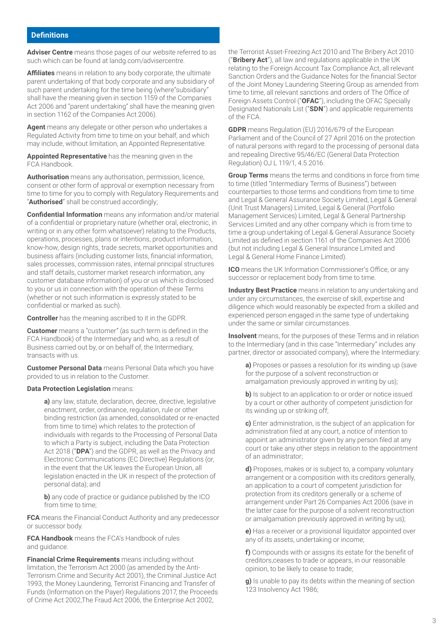**Adviser Centre** means those pages of our website referred to as such which can be found at [landg.com/advisercentre.](http://landg.com/advisercentre/)

**Affiliates** means in relation to any body corporate, the ultimate parent undertaking of that body corporate and any subsidiary of such parent undertaking for the time being (where"subsidiary" shall have the meaning given in section 1159 of the Companies Act 2006 and "parent undertaking" shall have the meaning given in section 1162 of the Companies Act 2006).

**Agent** means any delegate or other person who undertakes a Regulated Activity from time to time on your behalf, and which may include, without limitation, an Appointed Representative.

**Appointed Representative** has the meaning given in the FCA Handbook.

**Authorisation** means any authorisation, permission, licence, consent or other form of approval or exemption necessary from time to time for you to comply with Regulatory Requirements and "**Authorised**" shall be construed accordingly;

**Confidential Information** means any information and/or material of a confidential or proprietary nature (whether oral, electronic, in writing or in any other form whatsoever) relating to the Products, operations, processes, plans or intentions, product information, know-how, design rights, trade secrets, market opportunities and business affairs (including customer lists, financial information, sales processes, commission rates, internal principal structures and staff details, customer market research information, any customer database information) of you or us which is disclosed to you or us in connection with the operation of these Terms (whether or not such information is expressly stated to be confidential or marked as such).

**Controller** has the meaning ascribed to it in the GDPR.

**Customer** means a "customer" (as such term is defined in the FCA Handbook) of the Intermediary and who, as a result of Business carried out by, or on behalf of, the Intermediary, transacts with us.

**Customer Personal Data** means Personal Data which you have provided to us in relation to the Customer.

#### **Data Protection Legislation** means:

**a)** any law, statute, declaration, decree, directive, legislative enactment, order, ordinance, regulation, rule or other binding restriction (as amended, consolidated or re-enacted from time to time) which relates to the protection of individuals with regards to the Processing of Personal Data to which a Party is subject, including the Data Protection Act 2018 ("**DPA**") and the GDPR, as well as the Privacy and Electronic Communications (EC Directive) Regulations (or, in the event that the UK leaves the European Union, all legislation enacted in the UK in respect of the protection of personal data); and

**b)** any code of practice or guidance published by the ICO from time to time;

**FCA** means the Financial Conduct Authority and any predecessor or successor body.

**FCA Handbook** means the FCA's Handbook of rules and guidance.

**Financial Crime Requirements** means including without limitation, the Terrorism Act 2000 (as amended by the Anti-Terrorism Crime and Security Act 2001), the Criminal Justice Act 1993, the Money Laundering, Terrorist Financing and Transfer of Funds (Information on the Payer) Regulations 2017, the Proceeds of Crime Act 2002,The Fraud Act 2006, the Enterprise Act 2002,

the Terrorist Asset-Freezing Act 2010 and The Bribery Act 2010 ("**Bribery Act**"), all law and regulations applicable in the UK relating to the Foreign Account Tax Compliance Act, all relevant Sanction Orders and the Guidance Notes for the financial Sector of the Joint Money Laundering Steering Group as amended from time to time, all relevant sanctions and orders of The Office of Foreign Assets Control ("**OFAC**"), including the OFAC Specially Designated Nationals List ("**SDN**") and applicable requirements of the FCA.

**GDPR** means Regulation (EU) 2016/679 of the European Parliament and of the Council of 27 April 2016 on the protection of natural persons with regard to the processing of personal data and repealing Directive 95/46/EC (General Data Protection Regulation) OJ L 119/1, 4.5.2016.

**Group Terms** means the terms and conditions in force from time to time (titled "Intermediary Terms of Business") between counterparties to those terms and conditions from time to time and Legal & General Assurance Society Limited, Legal & General (Unit Trust Managers) Limited, Legal & General (Portfolio Management Services) Limited, Legal & General Partnership Services Limited and any other company which is from time to time a group undertaking of Legal & General Assurance Society Limited as defined in section 1161 of the Companies Act 2006 (but not including Legal & General Insurance Limited and Legal & General Home Finance Limited).

**ICO** means the UK Information Commissioner's Office, or any successor or replacement body from time to time.

**Industry Best Practice** means in relation to any undertaking and under any circumstances, the exercise of skill, expertise and diligence which would reasonably be expected from a skilled and experienced person engaged in the same type of undertaking under the same or similar circumstances.

**Insolvent** means, for the purposes of these Terms and in relation to the Intermediary (and in this case "Intermediary" includes any partner, director or associated company), where the Intermediary:

**a)** Proposes or passes a resolution for its winding up (save for the purpose of a solvent reconstruction or amalgamation previously approved in writing by us);

**b)** Is subject to an application to or order or notice issued by a court or other authority of competent jurisdiction for its winding up or striking off;

**c)** Enter administration, is the subject of an application for administration filed at any court, a notice of intention to appoint an administrator given by any person filed at any court or take any other steps in relation to the appointment of an administrator;

**d)** Proposes, makes or is subject to, a company voluntary arrangement or a composition with its creditors generally, an application to a court of competent jurisdiction for protection from its creditors generally or a scheme of arrangement under Part 26 Companies Act 2006 (save in the latter case for the purpose of a solvent reconstruction or amalgamation previously approved in writing by us);

**e)** Has a receiver or a provisional liquidator appointed over any of its assets, undertaking or income;

**f)** Compounds with or assigns its estate for the benefit of creditors,ceases to trade or appears, in our reasonable opinion, to be likely to cease to trade;

**g)** Is unable to pay its debts within the meaning of section 123 Insolvency Act 1986;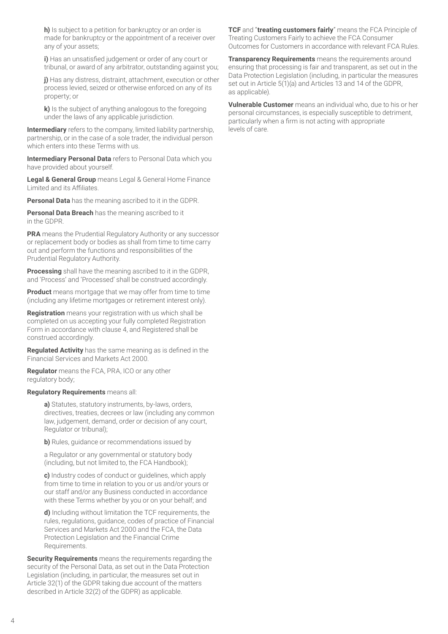**h)** Is subject to a petition for bankruptcy or an order is made for bankruptcy or the appointment of a receiver over any of your assets;

**i)** Has an unsatisfied judgement or order of any court or tribunal, or award of any arbitrator, outstanding against you;

**j)** Has any distress, distraint, attachment, execution or other process levied, seized or otherwise enforced on any of its property; or

**k)** Is the subject of anything analogous to the foregoing under the laws of any applicable jurisdiction.

**Intermediary** refers to the company, limited liability partnership, partnership, or in the case of a sole trader, the individual person which enters into these Terms with us.

**Intermediary Personal Data** refers to Personal Data which you have provided about yourself.

**Legal & General Group** means Legal & General Home Finance Limited and its Affiliates.

**Personal Data** has the meaning ascribed to it in the GDPR.

**Personal Data Breach** has the meaning ascribed to it in the GDPR.

**PRA** means the Prudential Regulatory Authority or any successor or replacement body or bodies as shall from time to time carry out and perform the functions and responsibilities of the Prudential Regulatory Authority.

**Processing** shall have the meaning ascribed to it in the GDPR, and 'Process' and 'Processed' shall be construed accordingly.

**Product** means mortgage that we may offer from time to time (including any lifetime mortgages or retirement interest only).

**Registration** means your registration with us which shall be completed on us accepting your fully completed Registration Form in accordance with clause 4, and Registered shall be construed accordingly.

**Regulated Activity** has the same meaning as is defined in the Financial Services and Markets Act 2000.

**Regulator** means the FCA, PRA, ICO or any other regulatory body;

#### **Regulatory Requirements** means all:

**a)** Statutes, statutory instruments, by-laws, orders, directives, treaties, decrees or law (including any common law, judgement, demand, order or decision of any court, Regulator or tribunal);

**b)** Rules, guidance or recommendations issued by

a Regulator or any governmental or statutory body (including, but not limited to, the FCA Handbook);

**c)** Industry codes of conduct or guidelines, which apply from time to time in relation to you or us and/or yours or our staff and/or any Business conducted in accordance with these Terms whether by you or on your behalf; and

**d)** Including without limitation the TCF requirements, the rules, regulations, guidance, codes of practice of Financial Services and Markets Act 2000 and the FCA, the Data Protection Legislation and the Financial Crime Requirements.

**Security Requirements** means the requirements regarding the security of the Personal Data, as set out in the Data Protection Legislation (including, in particular, the measures set out in Article 32(1) of the GDPR taking due account of the matters described in Article 32(2) of the GDPR) as applicable.

**TCF** and "**treating customers fairly**" means the FCA Principle of Treating Customers Fairly to achieve the FCA Consumer Outcomes for Customers in accordance with relevant FCA Rules.

**Transparency Requirements** means the requirements around ensuring that processing is fair and transparent, as set out in the Data Protection Legislation (including, in particular the measures set out in Article 5(1)(a) and Articles 13 and 14 of the GDPR, as applicable).

**Vulnerable Customer** means an individual who, due to his or her personal circumstances, is especially susceptible to detriment, particularly when a firm is not acting with appropriate levels of care.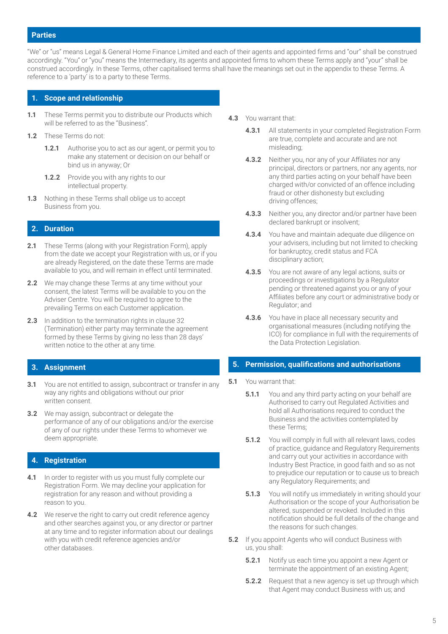#### **Parties**

"We" or "us" means Legal & General Home Finance Limited and each of their agents and appointed firms and "our" shall be construed accordingly. "You" or "you" means the Intermediary, its agents and appointed firms to whom these Terms apply and "your" shall be construed accordingly. In these Terms, other capitalised terms shall have the meanings set out in the appendix to these Terms. A reference to a 'party' is to a party to these Terms.

#### **1. Scope and relationship**

- **1.1** These Terms permit you to distribute our Products which will be referred to as the "Business".
- **1.2** These Terms do not:
	- **1.2.1** Authorise you to act as our agent, or permit you to make any statement or decision on our behalf or bind us in anyway; Or
	- **1.2.2** Provide you with any rights to our intellectual property.
- **1.3** Nothing in these Terms shall oblige us to accept Business from you.

## **2. Duration**

- **2.1** These Terms (along with your Registration Form), apply from the date we accept your Registration with us, or if you are already Registered, on the date these Terms are made available to you, and will remain in effect until terminated.
- **2.2** We may change these Terms at any time without your consent, the latest Terms will be available to you on the Adviser Centre. You will be required to agree to the prevailing Terms on each Customer application.
- **2.3** In addition to the termination rights in clause 32 (Termination) either party may terminate the agreement formed by these Terms by giving no less than 28 days' written notice to the other at any time.

#### **3. Assignment**

- **3.1** You are not entitled to assign, subcontract or transfer in any way any rights and obligations without our prior written consent.
- **3.2** We may assign, subcontract or delegate the performance of any of our obligations and/or the exercise of any of our rights under these Terms to whomever we deem appropriate.

#### **4. Registration**

- **4.1** In order to register with us you must fully complete our Registration Form. We may decline your application for registration for any reason and without providing a reason to you.
- **4.2** We reserve the right to carry out credit reference agency and other searches against you, or any director or partner at any time and to register information about our dealings with you with credit reference agencies and/or other databases.
- **4.3** You warrant that:
	- **4.3.1** All statements in your completed Registration Form are true, complete and accurate and are not misleading;
	- **4.3.2** Neither you, nor any of your Affiliates nor any principal, directors or partners, nor any agents, nor any third parties acting on your behalf have been charged with/or convicted of an offence including fraud or other dishonesty but excluding driving offences;
	- **4.3.3** Neither you, any director and/or partner have been declared bankrupt or insolvent;
	- **4.3.4** You have and maintain adequate due diligence on your advisers, including but not limited to checking for bankruptcy, credit status and FCA disciplinary action;
	- **4.3.5** You are not aware of any legal actions, suits or proceedings or investigations by a Regulator pending or threatened against you or any of your Affiliates before any court or administrative body or Regulator; and
	- **4.3.6** You have in place all necessary security and organisational measures (including notifying the ICO) for compliance in full with the requirements of the Data Protection Legislation.

#### **5. Permission, qualifications and authorisations**

#### **5.1** You warrant that:

- **5.1.1** You and any third party acting on your behalf are Authorised to carry out Regulated Activities and hold all Authorisations required to conduct the Business and the activities contemplated by these Terms;
- **5.1.2** You will comply in full with all relevant laws, codes of practice, guidance and Regulatory Requirements and carry out your activities in accordance with Industry Best Practice, in good faith and so as not to prejudice our reputation or to cause us to breach any Regulatory Requirements; and
- **5.1.3** You will notify us immediately in writing should your Authorisation or the scope of your Authorisation be altered, suspended or revoked. Included in this notification should be full details of the change and the reasons for such changes.
- **5.2** If you appoint Agents who will conduct Business with us, you shall:
	- **5.2.1** Notify us each time you appoint a new Agent or terminate the appointment of an existing Agent;
	- **5.2.2** Request that a new agency is set up through which that Agent may conduct Business with us; and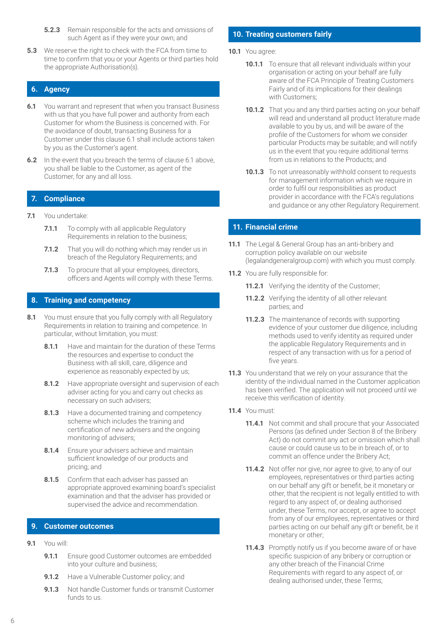- **5.2.3** Remain responsible for the acts and omissions of such Agent as if they were your own; and
- **5.3** We reserve the right to check with the FCA from time to time to confirm that you or your Agents or third parties hold the appropriate Authorisation(s).

# **6. Agency**

- **6.1** You warrant and represent that when you transact Business with us that you have full power and authority from each Customer for whom the Business is concerned with. For the avoidance of doubt, transacting Business for a Customer under this clause 6.1 shall include actions taken by you as the Customer's agent.
- **6.2** In the event that you breach the terms of clause 6.1 above, you shall be liable to the Customer, as agent of the Customer, for any and all loss.

## **7. Compliance**

- **7.1** You undertake:
	- **7.1.1** To comply with all applicable Regulatory Requirements in relation to the business;
	- **7.1.2** That you will do nothing which may render us in breach of the Regulatory Requirements; and
	- **7.1.3** To procure that all your employees, directors, officers and Agents will comply with these Terms.

## **8. Training and competency**

- **8.1** You must ensure that you fully comply with all Regulatory Requirements in relation to training and competence. In particular, without limitation, you must:
	- **8.1.1** Have and maintain for the duration of these Terms the resources and expertise to conduct the Business with all skill, care, diligence and experience as reasonably expected by us;
	- **8.1.2** Have appropriate oversight and supervision of each adviser acting for you and carry out checks as necessary on such advisers;
	- **8.1.3** Have a documented training and competency scheme which includes the training and certification of new advisers and the ongoing monitoring of advisers;
	- **8.1.4** Ensure your advisers achieve and maintain sufficient knowledge of our products and pricing; and
	- **8.1.5** Confirm that each adviser has passed an appropriate approved examining board's specialist examination and that the adviser has provided or supervised the advice and recommendation.

## **9. Customer outcomes**

- **9.1** You will:
	- **9.1.1** Ensure good Customer outcomes are embedded into your culture and business;
	- **9.1.2** Have a Vulnerable Customer policy; and
	- **9.1.3** Not handle Customer funds or transmit Customer funds to us.

# **10. Treating customers fairly**

- **10.1** You agree:
	- **10.1.1** To ensure that all relevant individuals within your organisation or acting on your behalf are fully aware of the FCA Principle of Treating Customers Fairly and of its implications for their dealings with Customers;
	- **10.1.2** That you and any third parties acting on your behalf will read and understand all product literature made available to you by us, and will be aware of the profile of the Customers for whom we consider particular Products may be suitable; and will notify us in the event that you require additional terms from us in relations to the Products; and
	- **10.1.3** To not unreasonably withhold consent to requests for management information which we require in order to fulfil our responsibilities as product provider in accordance with the FCA's regulations and guidance or any other Regulatory Requirement.

# **11. Financial crime**

- **11.1** The Legal & General Group has an anti-bribery and corruption policy available on our website [\(legalandgeneralgroup.com](http://legalandgeneralgroup.com)) with which you must comply.
- **11.2** You are fully responsible for:
	- **11.2.1** Verifying the identity of the Customer;
	- **11.2.2** Verifying the identity of all other relevant parties; and
	- **11.2.3** The maintenance of records with supporting evidence of your customer due diligence, including methods used to verify identity as required under the applicable Regulatory Requirements and in respect of any transaction with us for a period of five years.
- **11.3** You understand that we rely on your assurance that the identity of the individual named in the Customer application has been verified. The application will not proceed until we receive this verification of identity.
- **11.4** You must:
	- **11.4.1** Not commit and shall procure that your Associated Persons (as defined under Section 8 of the Bribery Act) do not commit any act or omission which shall cause or could cause us to be in breach of, or to commit an offence under the Bribery Act;
	- **11.4.2** Not offer nor give, nor agree to give, to any of our employees, representatives or third parties acting on our behalf any gift or benefit, be it monetary or other, that the recipient is not legally entitled to with regard to any aspect of, or dealing authorised under, these Terms, nor accept, or agree to accept from any of our employees, representatives or third parties acting on our behalf any gift or benefit, be it monetary or other;
	- **11.4.3** Promptly notify us if you become aware of or have specific suspicion of any bribery or corruption or any other breach of the Financial Crime Requirements with regard to any aspect of, or dealing authorised under, these Terms;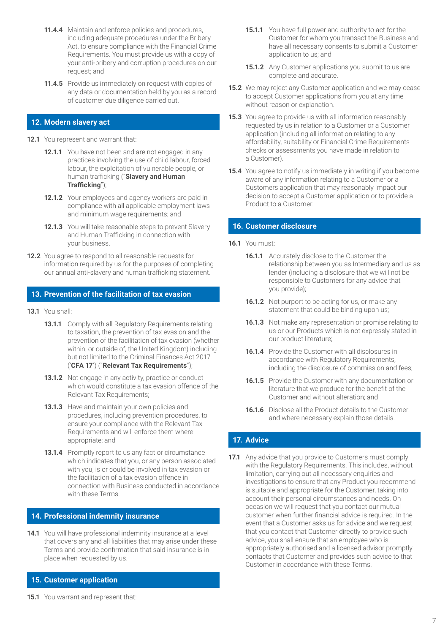- **11.4.4** Maintain and enforce policies and procedures, including adequate procedures under the Bribery Act, to ensure compliance with the Financial Crime Requirements. You must provide us with a copy of your anti-bribery and corruption procedures on our request; and
- **11.4.5** Provide us immediately on request with copies of any data or documentation held by you as a record of customer due diligence carried out.

## **12. Modern slavery act**

- **12.1** You represent and warrant that:
	- **12.1.1** You have not been and are not engaged in any practices involving the use of child labour, forced labour, the exploitation of vulnerable people, or human trafficking ("**Slavery and Human Trafficking**");
	- **12.1.2** Your employees and agency workers are paid in compliance with all applicable employment laws and minimum wage requirements; and
	- **12.1.3** You will take reasonable steps to prevent Slavery and Human Trafficking in connection with your business.
- **12.2** You agree to respond to all reasonable requests for information required by us for the purposes of completing our annual anti-slavery and human trafficking statement.

#### **13. Prevention of the facilitation of tax evasion**

- **13.1** You shall:
	- **13.1.1** Comply with all Regulatory Requirements relating to taxation, the prevention of tax evasion and the prevention of the facilitation of tax evasion (whether within, or outside of, the United Kingdom) including but not limited to the Criminal Finances Act 2017 ('**CFA 17**') ("**Relevant Tax Requirements**");
	- **13.1.2** Not engage in any activity, practice or conduct which would constitute a tax evasion offence of the Relevant Tax Requirements;
	- **13.1.3** Have and maintain your own policies and procedures, including prevention procedures, to ensure your compliance with the Relevant Tax Requirements and will enforce them where appropriate; and
	- **13.1.4** Promptly report to us any fact or circumstance which indicates that you, or any person associated with you, is or could be involved in tax evasion or the facilitation of a tax evasion offence in connection with Business conducted in accordance with these Terms.

## **14. Professional indemnity insurance**

**14.1** You will have professional indemnity insurance at a level that covers any and all liabilities that may arise under these Terms and provide confirmation that said insurance is in place when requested by us.

## **15. Customer application**

- **15.1.1** You have full power and authority to act for the Customer for whom you transact the Business and have all necessary consents to submit a Customer application to us; and
- **15.1.2** Any Customer applications you submit to us are complete and accurate.
- **15.2** We may reject any Customer application and we may cease to accept Customer applications from you at any time without reason or explanation.
- **15.3** You agree to provide us with all information reasonably requested by us in relation to a Customer or a Customer application (including all information relating to any affordability, suitability or Financial Crime Requirements checks or assessments you have made in relation to a Customer).
- **15.4** You agree to notify us immediately in writing if you become aware of any information relating to a Customer or a Customers application that may reasonably impact our decision to accept a Customer application or to provide a Product to a Customer.

#### **16. Customer disclosure**

- **16.1** You must:
	- **16.1.1** Accurately disclose to the Customer the relationship between you as Intermediary and us as lender (including a disclosure that we will not be responsible to Customers for any advice that you provide);
	- **16.1.2** Not purport to be acting for us, or make any statement that could be binding upon us;
	- **16.1.3** Not make any representation or promise relating to us or our Products which is not expressly stated in our product literature;
	- **16.1.4** Provide the Customer with all disclosures in accordance with Regulatory Requirements, including the disclosure of commission and fees;
	- **16.1.5** Provide the Customer with any documentation or literature that we produce for the benefit of the Customer and without alteration; and
	- **16.1.6** Disclose all the Product details to the Customer and where necessary explain those details.

## **17. Advice**

**17.1** Any advice that you provide to Customers must comply with the Regulatory Requirements. This includes, without limitation, carrying out all necessary enquiries and investigations to ensure that any Product you recommend is suitable and appropriate for the Customer, taking into account their personal circumstances and needs. On occasion we will request that you contact our mutual customer when further financial advice is required. In the event that a Customer asks us for advice and we request that you contact that Customer directly to provide such advice, you shall ensure that an employee who is appropriately authorised and a licensed advisor promptly contacts that Customer and provides such advice to that Customer in accordance with these Terms.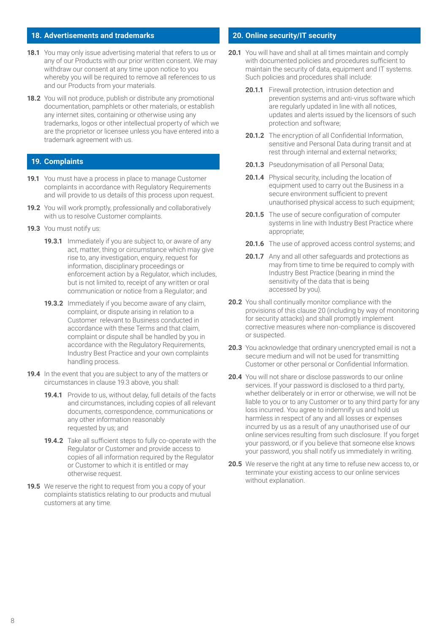## **18. Advertisements and trademarks**

- **18.1** You may only issue advertising material that refers to us or any of our Products with our prior written consent. We may withdraw our consent at any time upon notice to you whereby you will be required to remove all references to us and our Products from your materials.
- **18.2** You will not produce, publish or distribute any promotional documentation, pamphlets or other materials, or establish any internet sites, containing or otherwise using any trademarks, logos or other intellectual property of which we are the proprietor or licensee unless you have entered into a trademark agreement with us.

## **19. Complaints**

- **19.1** You must have a process in place to manage Customer complaints in accordance with Regulatory Requirements and will provide to us details of this process upon request.
- **19.2** You will work promptly, professionally and collaboratively with us to resolve Customer complaints.
- **19.3** You must notify us:
	- **19.3.1** Immediately if you are subject to, or aware of any act, matter, thing or circumstance which may give rise to, any investigation, enquiry, request for information, disciplinary proceedings or enforcement action by a Regulator, which includes, but is not limited to, receipt of any written or oral communication or notice from a Regulator; and
	- **19.3.2** Immediately if you become aware of any claim, complaint, or dispute arising in relation to a Customer relevant to Business conducted in accordance with these Terms and that claim, complaint or dispute shall be handled by you in accordance with the Regulatory Requirements, Industry Best Practice and your own complaints handling process.
- **19.4** In the event that you are subject to any of the matters or circumstances in clause 19.3 above, you shall:
	- **19.4.1** Provide to us, without delay, full details of the facts and circumstances, including copies of all relevant documents, correspondence, communications or any other information reasonably requested by us; and
	- **19.4.2** Take all sufficient steps to fully co-operate with the Regulator or Customer and provide access to copies of all information required by the Regulator or Customer to which it is entitled or may otherwise request.
- **19.5** We reserve the right to request from you a copy of your complaints statistics relating to our products and mutual customers at any time.

#### **20. Online security/IT security**

- **20.1** You will have and shall at all times maintain and comply with documented policies and procedures sufficient to maintain the security of data, equipment and IT systems. Such policies and procedures shall include:
	- **20.1.1** Firewall protection, intrusion detection and prevention systems and anti-virus software which are regularly updated in line with all notices, updates and alerts issued by the licensors of such protection and software;
	- **20.1.2** The encryption of all Confidential Information, sensitive and Personal Data during transit and at rest through internal and external networks;
	- **20.1.3** Pseudonymisation of all Personal Data;
	- **20.1.4** Physical security, including the location of equipment used to carry out the Business in a secure environment sufficient to prevent unauthorised physical access to such equipment;
	- **20.1.5** The use of secure configuration of computer systems in line with Industry Best Practice where appropriate;
	- **20.1.6** The use of approved access control systems; and
	- **20.1.7** Any and all other safeguards and protections as may from time to time be required to comply with Industry Best Practice (bearing in mind the sensitivity of the data that is being accessed by you).
- **20.2** You shall continually monitor compliance with the provisions of this clause 20 (including by way of monitoring for security attacks) and shall promptly implement corrective measures where non-compliance is discovered or suspected.
- **20.3** You acknowledge that ordinary unencrypted email is not a secure medium and will not be used for transmitting Customer or other personal or Confidential Information.
- **20.4** You will not share or disclose passwords to our online services. If your password is disclosed to a third party, whether deliberately or in error or otherwise, we will not be liable to you or to any Customer or to any third party for any loss incurred. You agree to indemnify us and hold us harmless in respect of any and all losses or expenses incurred by us as a result of any unauthorised use of our online services resulting from such disclosure. If you forget your password, or if you believe that someone else knows your password, you shall notify us immediately in writing.
- **20.5** We reserve the right at any time to refuse new access to, or terminate your existing access to our online services without explanation.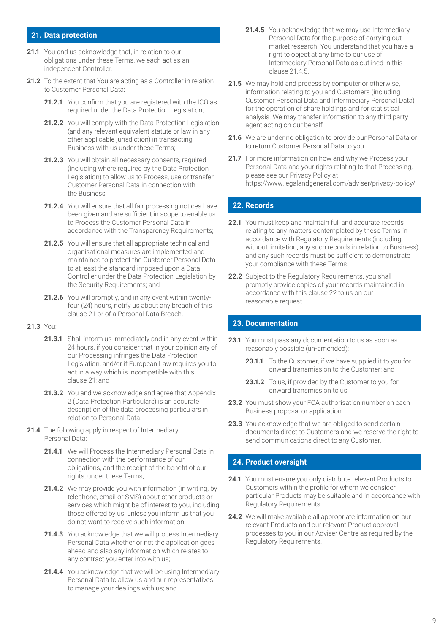#### **21. Data protection**

- **21.1** You and us acknowledge that, in relation to our obligations under these Terms, we each act as an independent Controller.
- **21.2** To the extent that You are acting as a Controller in relation to Customer Personal Data:
	- **21.2.1** You confirm that you are registered with the ICO as required under the Data Protection Legislation;
	- 21.2.2 You will comply with the Data Protection Legislation (and any relevant equivalent statute or law in any other applicable jurisdiction) in transacting Business with us under these Terms;
	- 21.2.3 You will obtain all necessary consents, required (including where required by the Data Protection Legislation) to allow us to Process, use or transfer Customer Personal Data in connection with the Business;
	- 21.2.4 You will ensure that all fair processing notices have been given and are sufficient in scope to enable us to Process the Customer Personal Data in accordance with the Transparency Requirements;
	- **21.2.5** You will ensure that all appropriate technical and organisational measures are implemented and maintained to protect the Customer Personal Data to at least the standard imposed upon a Data Controller under the Data Protection Legislation by the Security Requirements; and
	- **21.2.6** You will promptly, and in any event within twentyfour (24) hours, notify us about any breach of this clause 21 or of a Personal Data Breach.

#### **21.3** You:

- **21.3.1** Shall inform us immediately and in any event within 24 hours, if you consider that in your opinion any of our Processing infringes the Data Protection Legislation, and/or if European Law requires you to act in a way which is incompatible with this clause 21; and
- **21.3.2** You and we acknowledge and agree that Appendix 2 (Data Protection Particulars) is an accurate description of the data processing particulars in relation to Personal Data.
- **21.4** The following apply in respect of Intermediary Personal Data:
	- 21.4.1 We will Process the Intermediary Personal Data in connection with the performance of our obligations, and the receipt of the benefit of our rights, under these Terms;
	- **21.4.2** We may provide you with information (in writing, by telephone, email or SMS) about other products or services which might be of interest to you, including those offered by us, unless you inform us that you do not want to receive such information;
	- **21.4.3** You acknowledge that we will process Intermediary Personal Data whether or not the application goes ahead and also any information which relates to any contract you enter into with us;
	- 21.4.4 You acknowledge that we will be using Intermediary Personal Data to allow us and our representatives to manage your dealings with us; and
- **21.4.5** You acknowledge that we may use Intermediary Personal Data for the purpose of carrying out market research. You understand that you have a right to object at any time to our use of Intermediary Personal Data as outlined in this clause 21.4.5.
- **21.5** We may hold and process by computer or otherwise, information relating to you and Customers (including Customer Personal Data and Intermediary Personal Data) for the operation of share holdings and for statistical analysis. We may transfer information to any third party agent acting on our behalf.
- **21.6** We are under no obligation to provide our Personal Data or to return Customer Personal Data to you.
- **21.7** For more information on how and why we Process your Personal Data and your rights relating to that Processing, please see our Privacy Policy at <https://www.legalandgeneral.com/adviser/privacy-policy/>

## **22. Records**

- **22.1** You must keep and maintain full and accurate records relating to any matters contemplated by these Terms in accordance with Regulatory Requirements (including, without limitation, any such records in relation to Business) and any such records must be sufficient to demonstrate your compliance with these Terms.
- **22.2** Subject to the Regulatory Requirements, you shall promptly provide copies of your records maintained in accordance with this clause 22 to us on our reasonable request.

## **23. Documentation**

- **23.1** You must pass any documentation to us as soon as reasonably possible (un-amended):
	- **23.1.1** To the Customer, if we have supplied it to you for onward transmission to the Customer; and
	- **23.1.2** To us, if provided by the Customer to you for onward transmission to us.
- **23.2** You must show your FCA authorisation number on each Business proposal or application.
- **23.3** You acknowledge that we are obliged to send certain documents direct to Customers and we reserve the right to send communications direct to any Customer.

## **24. Product oversight**

- **24.1** You must ensure you only distribute relevant Products to Customers within the profile for whom we consider particular Products may be suitable and in accordance with Regulatory Requirements.
- **24.2** We will make available all appropriate information on our relevant Products and our relevant Product approval processes to you in our Adviser Centre as required by the Regulatory Requirements.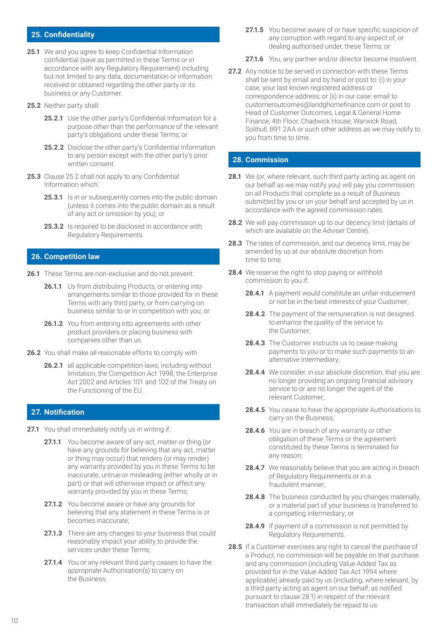## **25. Confidentiality**

- **25.1** We and you agree to keep Confidential Information confidential (save as permitted in these Terms or in accordance with any Regulatory Requirement) including but not limited to any data, documentation or information received or obtained regarding the other party or its business or any Customer.
- **25.2** Neither party shall:
	- **25.2.1** Use the other party's Confidential Information for a purpose other than the performance of the relevant party's obligations under these Terms; or
	- **25.2.2** Disclose the other party's Confidential Information to any person except with the other party's prior written consent.
- **25.3** Clause 25.2 shall not apply to any Confidential Information which:
	- **25.3.1** Is in or subsequently comes into the public domain (unless it comes into the public domain as a result of any act or omission by you); or
	- **25.3.2** Is required to be disclosed in accordance with Regulatory Requirements.

#### **26. Competition law**

- **26.1** These Terms are non-exclusive and do not prevent:
	- **26.1.1** Us from distributing Products, or entering into arrangements similar to those provided for in these Terms with any third party, or from carrying on business similar to or in competition with you; or
	- **26.1.2** You from entering into agreements with other product providers or placing business with companies other than us.
- **26.2** You shall make all reasonable efforts to comply with
	- **26.2.1** all applicable competition laws, including without limitation, the Competition Act 1998, the Enterprise Act 2002 and Articles 101 and 102 of the Treaty on the Functioning of the EU.

## **27. Notification**

- **27.1** You shall immediately notify us in writing if:
	- **27.1.1** You become aware of any act, matter or thing (or have any grounds for believing that any act, matter or thing may occur) that renders (or may render) any warranty provided by you in these Terms to be inaccurate, untrue or misleading (either wholly or in part) or that will otherwise impact or affect any warranty provided by you in these Terms;
	- **27.1.2** You become aware or have any grounds for believing that any statement in these Terms is or becomes inaccurate;
	- **27.1.3** There are any changes to your business that could reasonably impact your ability to provide the services under these Terms;
	- **27.1.4** You or any relevant third party ceases to have the appropriate Authorisation(s) to carry on the Business;
- **27.1.5** You become aware of or have specific suspicion of any corruption with regard to any aspect of, or dealing authorised under, these Terms; or
- **27.1.6** You, any partner and/or director become Insolvent.
- **27.2** Any notice to be served in connection with these Terms shall be sent by email and by hand or post to: (i) in your case, your last known registered address or correspondence address; or (ii) in our case: email to customeroutcomes@landghomefinance.com or post to Head of Customer Outcomes, Legal & General Home Finance, 4th Floor, Chadwick House, Warwick Road, Solihull, B91 2AA or such other address as we may notify to you from time to time.

## **28. Commission**

- **28.1** We (or, where relevant, such third party acting as agent on our behalf as we may notify you) will pay you commission on all Products that complete as a result of Business submitted by you or on your behalf and accepted by us in accordance with the agreed commission rates.
- **28.2** We will pay commission up to our decency limit (details of which are available on the Adviser Centre).
- **28.3** The rates of commission, and our decency limit, may be amended by us at our absolute discretion from time to time.
- 28.4 We reserve the right to stop paying or withhold commission to you if:
	- **28.4.1** A payment would constitute an unfair inducement or not be in the best interests of your Customer;
	- **28.4.2** The payment of the remuneration is not designed to enhance the quality of the service to the Customer;
	- **28.4.3** The Customer instructs us to cease making payments to you or to make such payments to an alternative intermediary;
	- **28.4.4** We consider, in our absolute discretion, that you are no longer providing an ongoing financial advisory service to or are no longer the agent of the relevant Customer;
	- **28.4.5** You cease to have the appropriate Authorisations to carry on the Business;
	- **28.4.6** You are in breach of any warranty or other obligation of these Terms or the agreement constituted by these Terms is terminated for any reason;
	- **28.4.7** We reasonably believe that you are acting in breach of Regulatory Requirements or in a fraudulent manner;
	- **28.4.8** The business conducted by you changes materially, or a material part of your business is transferred to a competing intermediary; or
	- **28.4.9** If payment of a commission is not permitted by Regulatory Requirements.
- **28.5** If a Customer exercises any right to cancel the purchase of a Product, no commission will be payable on that purchase and any commission (including Value Added Tax as provided for in the Value Added Tax Act 1994 where applicable) already paid by us (including, where relevant, by a third party acting as agent on our behalf, as notified pursuant to clause 28.1) in respect of the relevant transaction shall immediately be repaid to us.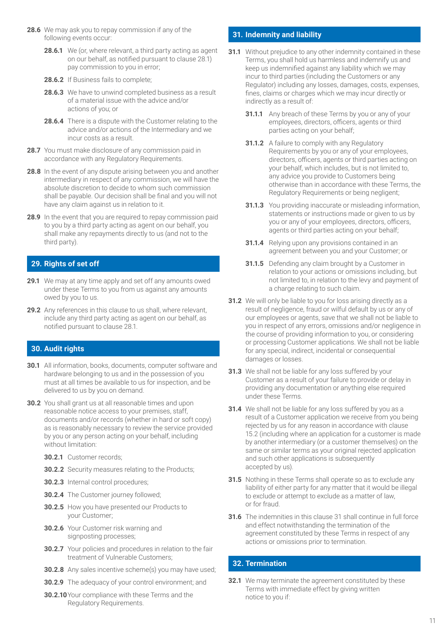- **28.6** We may ask you to repay commission if any of the following events occur:
	- **28.6.1** We (or, where relevant, a third party acting as agent on our behalf, as notified pursuant to clause 28.1) pay commission to you in error;
	- 28.6.2 If Business fails to complete;
	- **28.6.3** We have to unwind completed business as a result of a material issue with the advice and/or actions of you; or
	- **28.6.4** There is a dispute with the Customer relating to the advice and/or actions of the Intermediary and we incur costs as a result.
- **28.7** You must make disclosure of any commission paid in accordance with any Regulatory Requirements.
- **28.8** In the event of any dispute arising between you and another intermediary in respect of any commission, we will have the absolute discretion to decide to whom such commission shall be payable. Our decision shall be final and you will not have any claim against us in relation to it.
- **28.9** In the event that you are required to repay commission paid to you by a third party acting as agent on our behalf, you shall make any repayments directly to us (and not to the third party).

# **29. Rights of set off**

- **29.1** We may at any time apply and set off any amounts owed under these Terms to you from us against any amounts owed by you to us.
- **29.2** Any references in this clause to us shall, where relevant, include any third party acting as agent on our behalf, as notified pursuant to clause 28.1.

## **30. Audit rights**

- **30.1** All information, books, documents, computer software and hardware belonging to us and in the possession of you must at all times be available to us for inspection, and be delivered to us by you on demand.
- **30.2** You shall grant us at all reasonable times and upon reasonable notice access to your premises, staff, documents and/or records (whether in hard or soft copy) as is reasonably necessary to review the service provided by you or any person acting on your behalf, including without limitation:
	- **30.2.1** Customer records;
	- **30.2.2** Security measures relating to the Products;
	- **30.2.3** Internal control procedures;
	- **30.2.4** The Customer journey followed;
	- **30.2.5** How you have presented our Products to your Customer;
	- **30.2.6** Your Customer risk warning and signposting processes;
	- **30.2.7** Your policies and procedures in relation to the fair treatment of Vulnerable Customers;
	- **30.2.8** Any sales incentive scheme(s) you may have used;
	- **30.2.9** The adequacy of your control environment; and
	- **30.2.10**Your compliance with these Terms and the Regulatory Requirements.

# **31. Indemnity and liability**

- **31.1** Without prejudice to any other indemnity contained in these Terms, you shall hold us harmless and indemnify us and keep us indemnified against any liability which we may incur to third parties (including the Customers or any Regulator) including any losses, damages, costs, expenses, fines, claims or charges which we may incur directly or indirectly as a result of:
	- **31.1.1** Any breach of these Terms by you or any of your employees, directors, officers, agents or third parties acting on your behalf;
	- **31.1.2** A failure to comply with any Regulatory Requirements by you or any of your employees, directors, officers, agents or third parties acting on your behalf, which includes, but is not limited to, any advice you provide to Customers being otherwise than in accordance with these Terms, the Regulatory Requirements or being negligent;
	- **31.1.3** You providing inaccurate or misleading information, statements or instructions made or given to us by you or any of your employees, directors, officers, agents or third parties acting on your behalf;
	- **31.1.4** Relying upon any provisions contained in an agreement between you and your Customer; or
	- **31.1.5** Defending any claim brought by a Customer in relation to your actions or omissions including, but not limited to, in relation to the levy and payment of a charge relating to such claim.
- **31.2** We will only be liable to you for loss arising directly as a result of negligence, fraud or wilful default by us or any of our employees or agents, save that we shall not be liable to you in respect of any errors, omissions and/or negligence in the course of providing information to you, or considering or processing Customer applications. We shall not be liable for any special, indirect, incidental or consequential damages or losses.
- **31.3** We shall not be liable for any loss suffered by your Customer as a result of your failure to provide or delay in providing any documentation or anything else required under these Terms.
- **31.4** We shall not be liable for any loss suffered by you as a result of a Customer application we receive from you being rejected by us for any reason in accordance with clause 15.2 (including where an application for a customer is made by another intermediary (or a customer themselves) on the same or similar terms as your original rejected application and such other applications is subsequently accepted by us).
- **31.5** Nothing in these Terms shall operate so as to exclude any liability of either party for any matter that it would be illegal to exclude or attempt to exclude as a matter of law, or for fraud.
- **31.6** The indemnities in this clause 31 shall continue in full force and effect notwithstanding the termination of the agreement constituted by these Terms in respect of any actions or omissions prior to termination.

# **32. Termination**

**32.1** We may terminate the agreement constituted by these Terms with immediate effect by giving written notice to you if: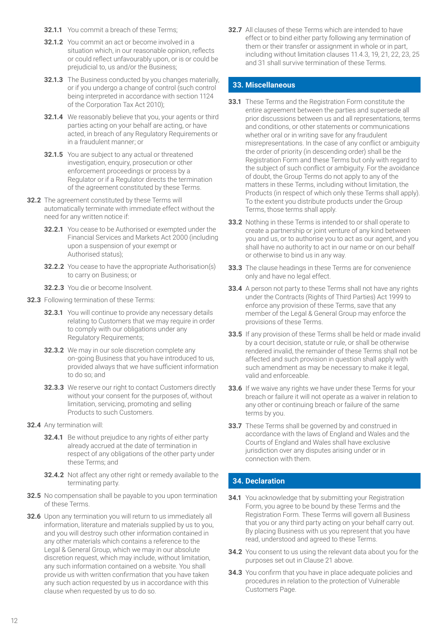- **32.1.1** You commit a breach of these Terms;
- **32.1.2** You commit an act or become involved in a situation which, in our reasonable opinion, reflects or could reflect unfavourably upon, or is or could be prejudicial to, us and/or the Business;
- **32.1.3** The Business conducted by you changes materially, or if you undergo a change of control (such control being interpreted in accordance with section 1124 of the Corporation Tax Act 2010);
- **32.1.4** We reasonably believe that you, your agents or third parties acting on your behalf are acting, or have acted, in breach of any Regulatory Requirements or in a fraudulent manner; or
- **32.1.5** You are subject to any actual or threatened investigation, enquiry, prosecution or other enforcement proceedings or process by a Regulator or if a Regulator directs the termination of the agreement constituted by these Terms.
- **32.2** The agreement constituted by these Terms will automatically terminate with immediate effect without the need for any written notice if:
	- **32.2.1** You cease to be Authorised or exempted under the Financial Services and Markets Act 2000 (including upon a suspension of your exempt or Authorised status);
	- **32.2.2** You cease to have the appropriate Authorisation(s) to carry on Business; or
	- **32.2.3** You die or become Insolvent.
- **32.3** Following termination of these Terms:
	- **32.3.1** You will continue to provide any necessary details relating to Customers that we may require in order to comply with our obligations under any Regulatory Requirements;
	- **32.3.2** We may in our sole discretion complete any on-going Business that you have introduced to us, provided always that we have sufficient information to do so; and
	- **32.3.3** We reserve our right to contact Customers directly without your consent for the purposes of, without limitation, servicing, promoting and selling Products to such Customers.
- **32.4** Any termination will:
	- **32.4.1** Be without prejudice to any rights of either party already accrued at the date of termination in respect of any obligations of the other party under these Terms; and
	- **32.4.2** Not affect any other right or remedy available to the terminating party.
- **32.5** No compensation shall be payable to you upon termination of these Terms.
- **32.6** Upon any termination you will return to us immediately all information, literature and materials supplied by us to you, and you will destroy such other information contained in any other materials which contains a reference to the Legal & General Group, which we may in our absolute discretion request, which may include, without limitation, any such information contained on a website. You shall provide us with written confirmation that you have taken any such action requested by us in accordance with this clause when requested by us to do so.

**32.7** All clauses of these Terms which are intended to have effect or to bind either party following any termination of them or their transfer or assignment in whole or in part, including without limitation clauses 11.4.3, 19, 21, 22, 23, 25 and 31 shall survive termination of these Terms.

#### **33. Miscellaneous**

- **33.1** These Terms and the Registration Form constitute the entire agreement between the parties and supersede all prior discussions between us and all representations, terms and conditions, or other statements or communications whether oral or in writing save for any fraudulent misrepresentations. In the case of any conflict or ambiguity the order of priority (in descending order) shall be the Registration Form and these Terms but only with regard to the subject of such conflict or ambiguity. For the avoidance of doubt, the Group Terms do not apply to any of the matters in these Terms, including without limitation, the Products (in respect of which only these Terms shall apply). To the extent you distribute products under the Group Terms, those terms shall apply.
- **33.2** Nothing in these Terms is intended to or shall operate to create a partnership or joint venture of any kind between you and us, or to authorise you to act as our agent, and you shall have no authority to act in our name or on our behalf or otherwise to bind us in any way.
- **33.3** The clause headings in these Terms are for convenience only and have no legal effect.
- **33.4** A person not party to these Terms shall not have any rights under the Contracts (Rights of Third Parties) Act 1999 to enforce any provision of these Terms, save that any member of the Legal & General Group may enforce the provisions of these Terms.
- **33.5** If any provision of these Terms shall be held or made invalid by a court decision, statute or rule, or shall be otherwise rendered invalid, the remainder of these Terms shall not be affected and such provision in question shall apply with such amendment as may be necessary to make it legal. valid and enforceable.
- **33.6** If we waive any rights we have under these Terms for your breach or failure it will not operate as a waiver in relation to any other or continuing breach or failure of the same terms by you.
- **33.7** These Terms shall be governed by and construed in accordance with the laws of England and Wales and the Courts of England and Wales shall have exclusive jurisdiction over any disputes arising under or in connection with them.

## **34. Declaration**

- **34.1** You acknowledge that by submitting your Registration Form, you agree to be bound by these Terms and the Registration Form. These Terms will govern all Business that you or any third party acting on your behalf carry out. By placing Business with us you represent that you have read, understood and agreed to these Terms.
- **34.2** You consent to us using the relevant data about you for the purposes set out in Clause 21 above.
- **34.3** You confirm that you have in place adequate policies and procedures in relation to the protection of Vulnerable Customers Page.